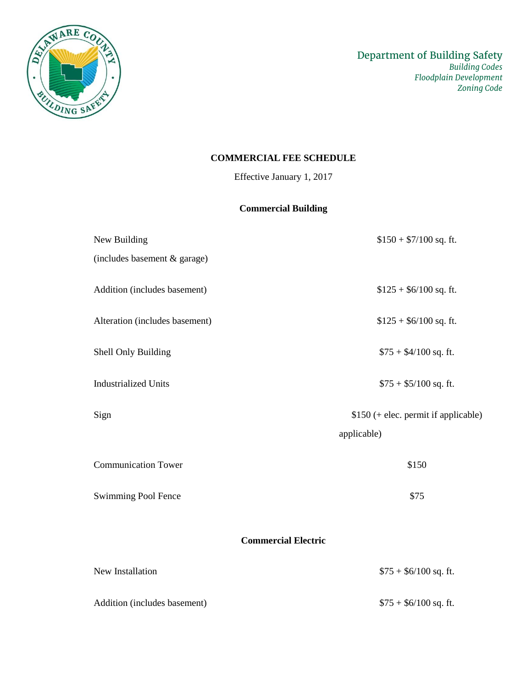

# **COMMERCIAL FEE SCHEDULE**

Effective January 1, 2017

# **Commercial Building**

| New Building                   | $$150 + $7/100$ sq. ft.              |  |
|--------------------------------|--------------------------------------|--|
| (includes basement & garage)   |                                      |  |
| Addition (includes basement)   | $$125 + $6/100$ sq. ft.              |  |
| Alteration (includes basement) | $$125 + $6/100$ sq. ft.              |  |
| Shell Only Building            | $$75 + $4/100$ sq. ft.               |  |
| <b>Industrialized Units</b>    | $$75 + $5/100$ sq. ft.               |  |
| Sign                           | \$150 (+ elec. permit if applicable) |  |
|                                | applicable)                          |  |
| <b>Communication Tower</b>     | \$150                                |  |
| Swimming Pool Fence            | \$75                                 |  |
| <b>Commercial Electric</b>     |                                      |  |
| New Installation               | $$75 + $6/100$ sq. ft.               |  |

Addition (includes basement) \$75 + \$6/100 sq. ft.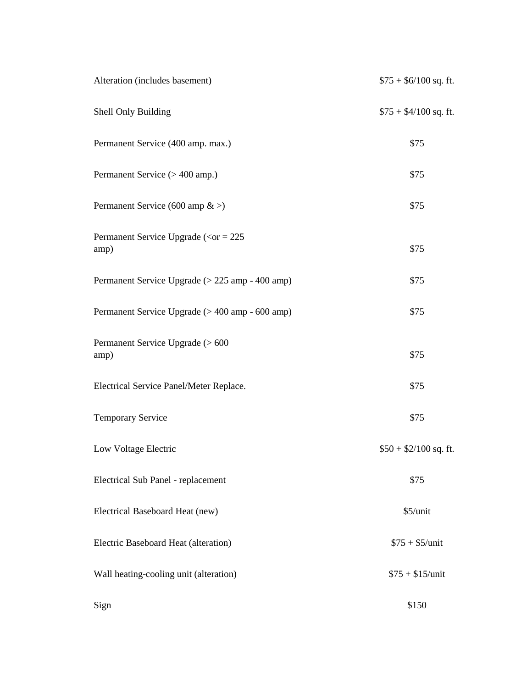| Alteration (includes basement)                                        | $$75 + $6/100$ sq. ft. |
|-----------------------------------------------------------------------|------------------------|
| Shell Only Building                                                   | $$75 + $4/100$ sq. ft. |
| Permanent Service (400 amp. max.)                                     | \$75                   |
| Permanent Service (> 400 amp.)                                        | \$75                   |
| Permanent Service (600 amp $\&$ >)                                    | \$75                   |
| Permanent Service Upgrade ( $\langle \text{or} = 225 \rangle$<br>amp) | \$75                   |
| Permanent Service Upgrade (> 225 amp - 400 amp)                       | \$75                   |
| Permanent Service Upgrade (> 400 amp - 600 amp)                       | \$75                   |
| Permanent Service Upgrade (> 600<br>amp)                              | \$75                   |
| Electrical Service Panel/Meter Replace.                               | \$75                   |
| <b>Temporary Service</b>                                              | \$75                   |
| Low Voltage Electric                                                  | $$50 + $2/100$ sq. ft. |
| Electrical Sub Panel - replacement                                    | \$75                   |
| Electrical Baseboard Heat (new)                                       | \$5/unit               |
| Electric Baseboard Heat (alteration)                                  | $$75 + $5/$ unit       |
| Wall heating-cooling unit (alteration)                                | $$75 + $15/$ unit      |
| Sign                                                                  | \$150                  |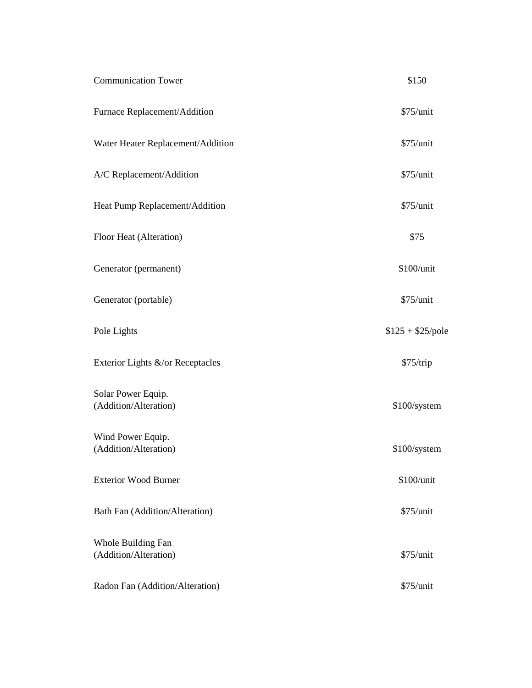| <b>Communication Tower</b>                  | \$150             |
|---------------------------------------------|-------------------|
| Furnace Replacement/Addition                | \$75/unit         |
| Water Heater Replacement/Addition           | \$75/unit         |
| A/C Replacement/Addition                    | \$75/unit         |
| Heat Pump Replacement/Addition              | \$75/unit         |
| Floor Heat (Alteration)                     | \$75              |
| Generator (permanent)                       | \$100/unit        |
| Generator (portable)                        | \$75/unit         |
| Pole Lights                                 | $$125 + $25/pole$ |
| Exterior Lights &/or Receptacles            | \$75/trip         |
| Solar Power Equip.<br>(Addition/Alteration) | \$100/system      |
| Wind Power Equip.<br>(Addition/Alteration)  | \$100/system      |
| <b>Exterior Wood Burner</b>                 | \$100/unit        |
| Bath Fan (Addition/Alteration)              | \$75/unit         |
| Whole Building Fan<br>(Addition/Alteration) | \$75/unit         |
| Radon Fan (Addition/Alteration)             | \$75/unit         |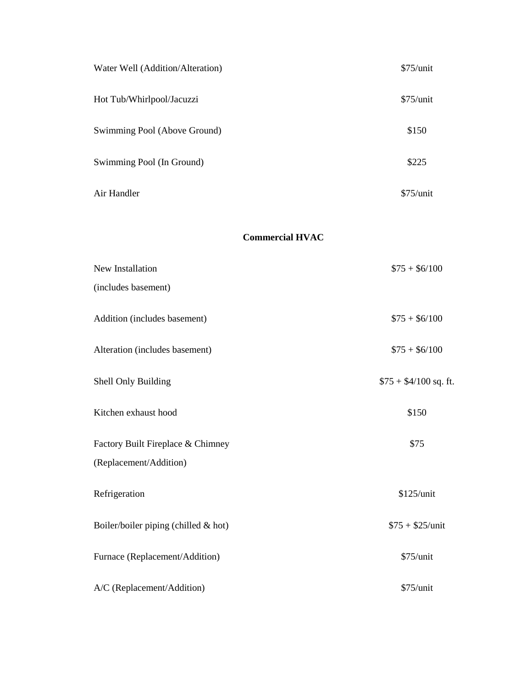| Water Well (Addition/Alteration) | $$75/$ unit |
|----------------------------------|-------------|
| Hot Tub/Whirlpool/Jacuzzi        | $$75/$ unit |
| Swimming Pool (Above Ground)     | \$150       |
| Swimming Pool (In Ground)        | \$225       |
| Air Handler                      | $$75/$ unit |

#### **Commercial HVAC**

| New Installation                     | $$75 + $6/100$         |
|--------------------------------------|------------------------|
| (includes basement)                  |                        |
| Addition (includes basement)         | $$75 + $6/100$         |
| Alteration (includes basement)       | $$75 + $6/100$         |
| Shell Only Building                  | $$75 + $4/100$ sq. ft. |
| Kitchen exhaust hood                 | \$150                  |
| Factory Built Fireplace & Chimney    | \$75                   |
| (Replacement/Addition)               |                        |
| Refrigeration                        | \$125/unit             |
| Boiler/boiler piping (chilled & hot) | $$75 + $25/$ unit      |
| Furnace (Replacement/Addition)       | \$75/unit              |
| A/C (Replacement/Addition)           | \$75/unit              |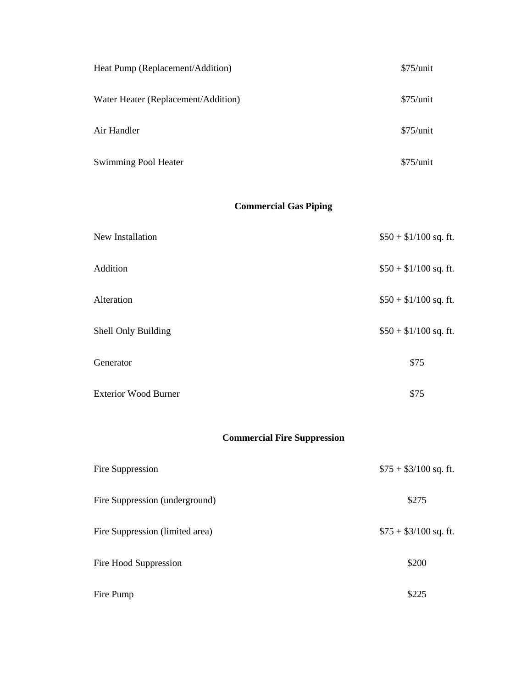| Heat Pump (Replacement/Addition)    | $$75/$ unit |
|-------------------------------------|-------------|
| Water Heater (Replacement/Addition) | $$75/$ unit |
| Air Handler                         | $$75/$ unit |
| <b>Swimming Pool Heater</b>         | $$75/$ unit |

# **Commercial Gas Piping**

| New Installation            | $$50 + $1/100$ sq. ft. |
|-----------------------------|------------------------|
| Addition                    | $$50 + $1/100$ sq. ft. |
| Alteration                  | $$50 + $1/100$ sq. ft. |
| Shell Only Building         | $$50 + $1/100$ sq. ft. |
| Generator                   | \$75                   |
| <b>Exterior Wood Burner</b> | \$75                   |

# **Commercial Fire Suppression**

| Fire Suppression                | $$75 + $3/100$ sq. ft. |
|---------------------------------|------------------------|
| Fire Suppression (underground)  | \$275                  |
| Fire Suppression (limited area) | $$75 + $3/100$ sq. ft. |
| Fire Hood Suppression           | \$200                  |
| Fire Pump                       | \$225                  |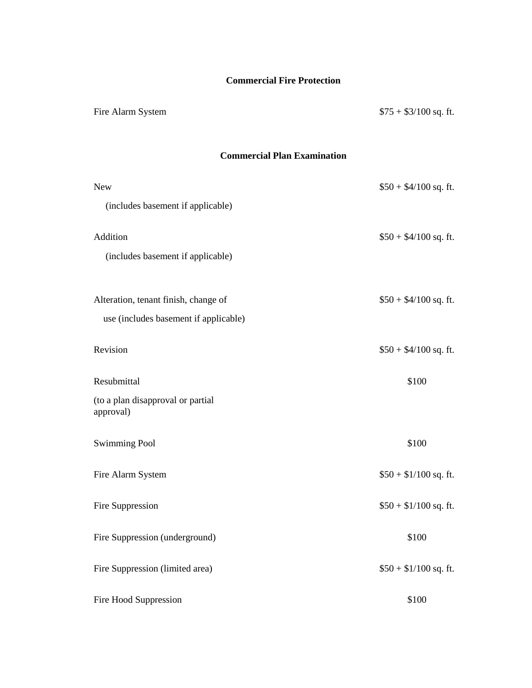# **Commercial Fire Protection**

Fire Alarm System  $$75 + $3/100$  sq. ft.

### **Commercial Plan Examination**

| <b>New</b>                                                                    | $$50 + $4/100$ sq. ft. |
|-------------------------------------------------------------------------------|------------------------|
| (includes basement if applicable)                                             |                        |
| Addition                                                                      | $$50 + $4/100$ sq. ft. |
| (includes basement if applicable)                                             |                        |
|                                                                               |                        |
| Alteration, tenant finish, change of<br>use (includes basement if applicable) | $$50 + $4/100$ sq. ft. |
|                                                                               |                        |
| Revision                                                                      | $$50 + $4/100$ sq. ft. |
| Resubmittal                                                                   | \$100                  |
| (to a plan disapproval or partial<br>approval)                                |                        |
| <b>Swimming Pool</b>                                                          | \$100                  |
| Fire Alarm System                                                             | $$50 + $1/100$ sq. ft. |
| Fire Suppression                                                              | $$50 + $1/100$ sq. ft. |
| Fire Suppression (underground)                                                | \$100                  |
| Fire Suppression (limited area)                                               | $$50 + $1/100$ sq. ft. |
| Fire Hood Suppression                                                         | \$100                  |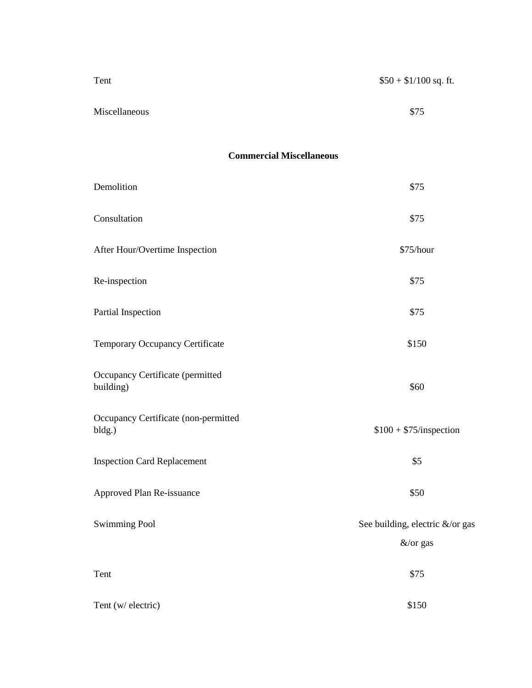| Tent          | $$50 + $1/100$ sq. ft. |
|---------------|------------------------|
|               |                        |
| Miscellaneous | \$75                   |

# **Commercial Miscellaneous**

| Demolition                                     | \$75                                        |
|------------------------------------------------|---------------------------------------------|
| Consultation                                   | \$75                                        |
| After Hour/Overtime Inspection                 | \$75/hour                                   |
| Re-inspection                                  | \$75                                        |
| Partial Inspection                             | \$75                                        |
| Temporary Occupancy Certificate                | \$150                                       |
| Occupancy Certificate (permitted<br>building)  | \$60                                        |
| Occupancy Certificate (non-permitted<br>bldg.) | $$100 + $75$ /inspection                    |
| <b>Inspection Card Replacement</b>             | \$5                                         |
| Approved Plan Re-issuance                      | \$50                                        |
| <b>Swimming Pool</b>                           | See building, electric &/or gas<br>&/or gas |
| Tent                                           | \$75                                        |
| Tent (w/ electric)                             | \$150                                       |